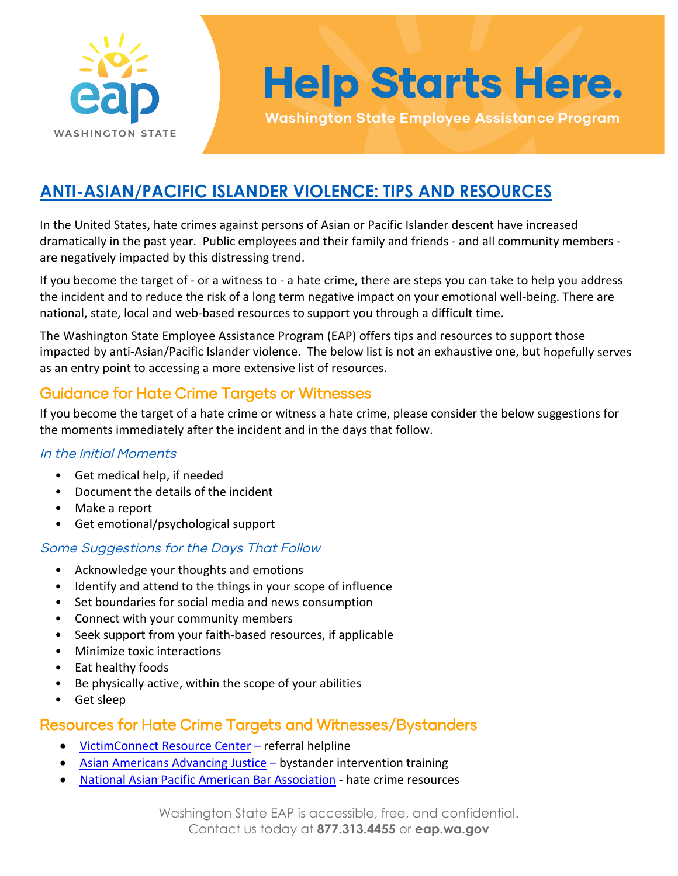

# **Help Starts Here.**

**Washington State Employee Assistance Program** 

### **ANTI-ASIAN/PACIFIC ISLANDER VIOLENCE: TIPS AND RESOURCES**

In the United States, hate crimes against persons of Asian or Pacific Islander descent have increased dramatically in the past year. Public employees and their family and friends - and all community members are negatively impacted by this distressing trend.

If you become the target of - or a witness to - a hate crime, there are steps you can take to help you address the incident and to reduce the risk of a long term negative impact on your emotional well-being. There are national, state, local and web-based resources to support you through a difficult time.

The Washington State Employee Assistance Program (EAP) offers tips and resources to support those impacted by anti-Asian/Pacific Islander violence. The below list is not an exhaustive one, but hopefully serves as an entry point to accessing a more extensive list of resources.

### Guidance for Hate Crime Targets or Witnesses

If you become the target of a hate crime or witness a hate crime, please consider the below suggestions for the moments immediately after the incident and in the days that follow.

#### In the Initial Moments

- Get medical help, if needed
- Document the details of the incident
- Make a report
- Get emotional/psychological support

### Some Suggestions for the Days That Follow

- Acknowledge your thoughts and emotions
- Identify and attend to the things in your scope of influence
- Set boundaries for social media and news consumption
- Connect with your community members
- Seek support from your faith-based resources, if applicable
- Minimize toxic interactions
- Eat healthy foods
- Be physically active, within the scope of your abilities
- Get sleep

### Resources for Hate Crime Targets and Witnesses/Bystanders

- [VictimConnect Resource Center](https://victimconnect.org/about-us/about-our-services/)  referral helpline
- [Asian Americans Advancing Justice](https://www.advancingjustice-aajc.org/events)  bystander intervention training
- [National Asian Pacific American Bar Association](https://www.napaba.org/page/HateCrimeResources)  hate crime resources